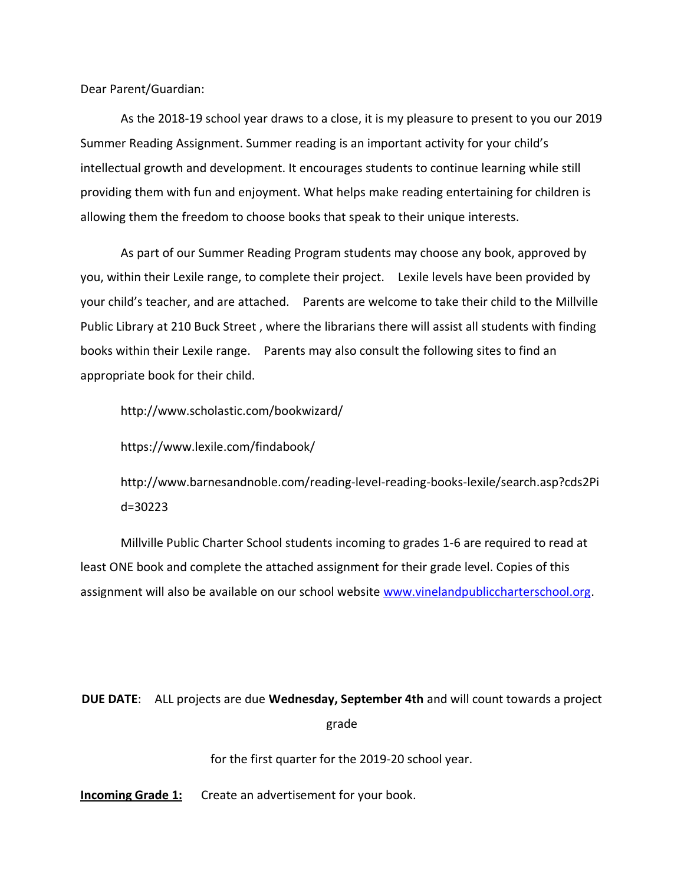As the 2018-19 school year draws to a close, it is my pleasure to present to you our 2019 Summer Reading Assignment. Summer reading is an important activity for your child's intellectual growth and development. It encourages students to continue learning while still providing them with fun and enjoyment. What helps make reading entertaining for children is allowing them the freedom to choose books that speak to their unique interests.

As part of our Summer Reading Program students may choose any book, approved by you, within their Lexile range, to complete their project. Lexile levels have been provided by your child's teacher, and are attached. Parents are welcome to take their child to the Millville Public Library at 210 Buck Street , where the librarians there will assist all students with finding books within their Lexile range. Parents may also consult the following sites to find an appropriate book for their child.

http://www.scholastic.com/bookwizard/

https://www.lexile.com/findabook/

http://www.barnesandnoble.com/reading-level-reading-books-lexile/search.asp?cds2Pi d=30223

Millville Public Charter School students incoming to grades 1-6 are required to read at least ONE book and complete the attached assignment for their grade level. Copies of this assignment will also be available on our school website www.vinelandpubliccharterschool.org.

# **DUE DATE**: ALL projects are due **Wednesday, September 4th** and will count towards a project grade

for the first quarter for the 2019-20 school year.

**Incoming Grade 1:** Create an advertisement for your book.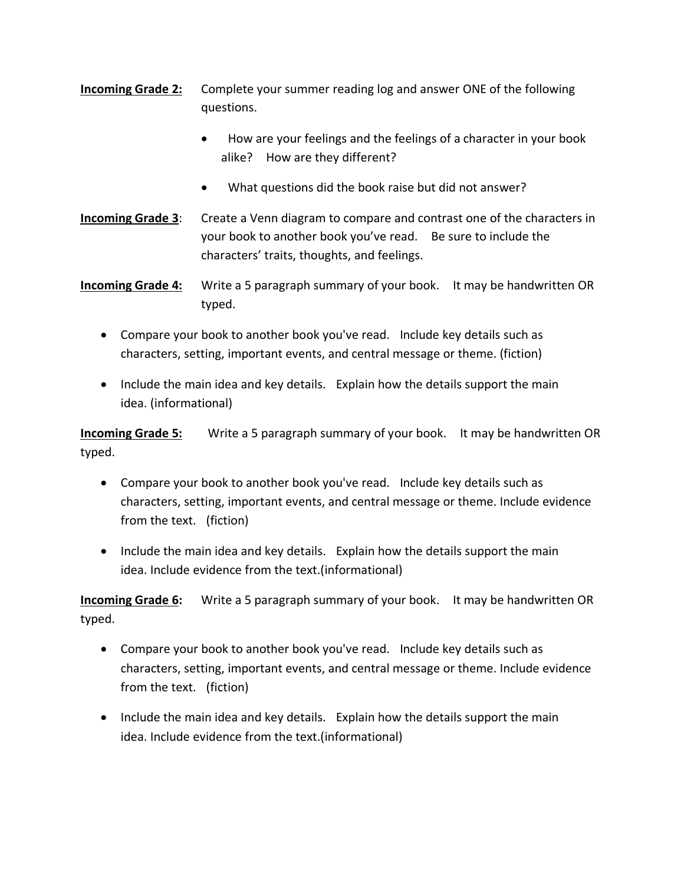- **Incoming Grade 2:** Complete your summer reading log and answer ONE of the following questions.
	- How are your feelings and the feelings of a character in your book alike? How are they different?
	- What questions did the book raise but did not answer?
- **Incoming Grade 3**: Create a Venn diagram to compare and contrast one of the characters in your book to another book you've read. Be sure to include the characters' traits, thoughts, and feelings.

**Incoming Grade 4:** Write a 5 paragraph summary of your book. It may be handwritten OR typed.

- Compare your book to another book you've read. Include key details such as characters, setting, important events, and central message or theme. (fiction)
- Include the main idea and key details. Explain how the details support the main idea. (informational)

**Incoming Grade 5:** Write a 5 paragraph summary of your book. It may be handwritten OR typed.

- Compare your book to another book you've read. Include key details such as characters, setting, important events, and central message or theme. Include evidence from the text. (fiction)
- Include the main idea and key details. Explain how the details support the main idea. Include evidence from the text.(informational)

**Incoming Grade 6:** Write a 5 paragraph summary of your book. It may be handwritten OR typed.

- Compare your book to another book you've read. Include key details such as characters, setting, important events, and central message or theme. Include evidence from the text. (fiction)
- Include the main idea and key details. Explain how the details support the main idea. Include evidence from the text.(informational)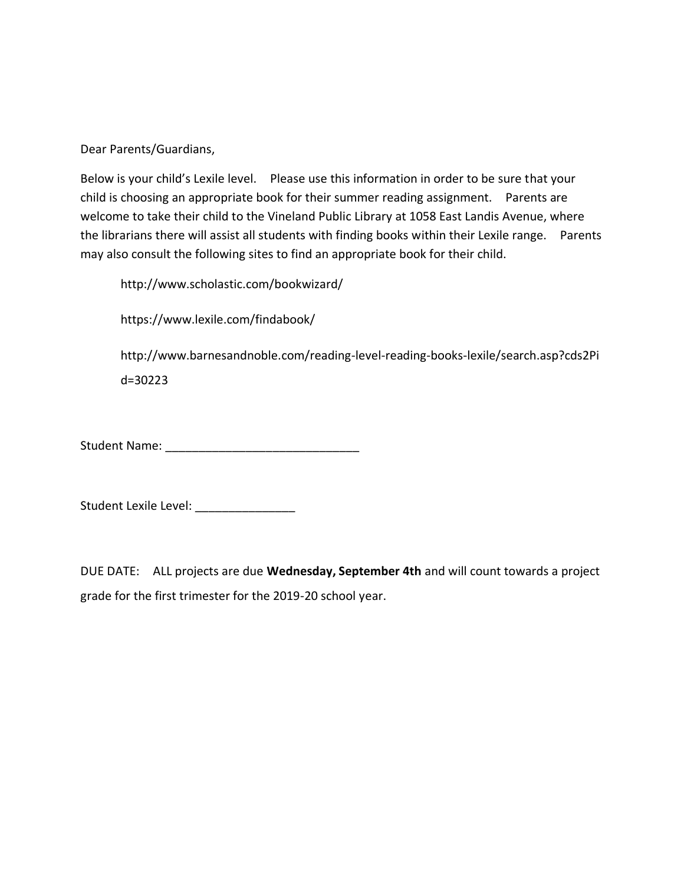Below is your child's Lexile level. Please use this information in order to be sure that your child is choosing an appropriate book for their summer reading assignment. Parents are welcome to take their child to the Vineland Public Library at 1058 East Landis Avenue, where the librarians there will assist all students with finding books within their Lexile range. Parents may also consult the following sites to find an appropriate book for their child.

http://www.scholastic.com/bookwizard/

https://www.lexile.com/findabook/

http://www.barnesandnoble.com/reading-level-reading-books-lexile/search.asp?cds2Pi d=30223

Student Name: \_\_\_\_\_\_\_\_\_\_\_\_\_\_\_\_\_\_\_\_\_\_\_\_\_\_\_\_\_

Student Lexile Level: \_\_\_\_\_\_\_\_\_\_\_\_\_\_\_

DUE DATE: ALL projects are due **Wednesday, September 4th** and will count towards a project grade for the first trimester for the 2019-20 school year.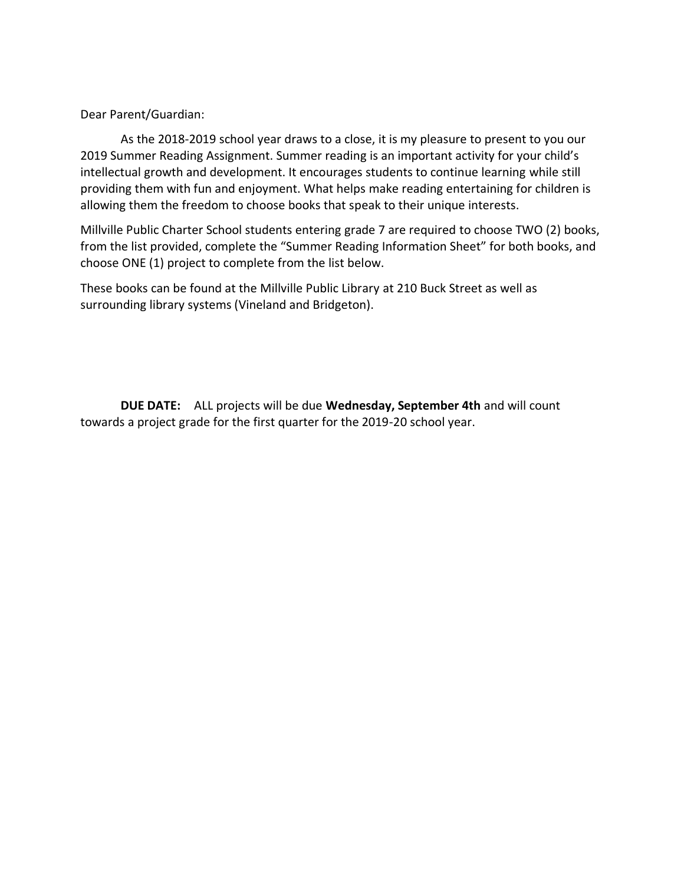As the 2018-2019 school year draws to a close, it is my pleasure to present to you our 2019 Summer Reading Assignment. Summer reading is an important activity for your child's intellectual growth and development. It encourages students to continue learning while still providing them with fun and enjoyment. What helps make reading entertaining for children is allowing them the freedom to choose books that speak to their unique interests.

Millville Public Charter School students entering grade 7 are required to choose TWO (2) books, from the list provided, complete the "Summer Reading Information Sheet" for both books, and choose ONE (1) project to complete from the list below.

These books can be found at the Millville Public Library at 210 Buck Street as well as surrounding library systems (Vineland and Bridgeton).

**DUE DATE:** ALL projects will be due **Wednesday, September 4th** and will count towards a project grade for the first quarter for the 2019-20 school year.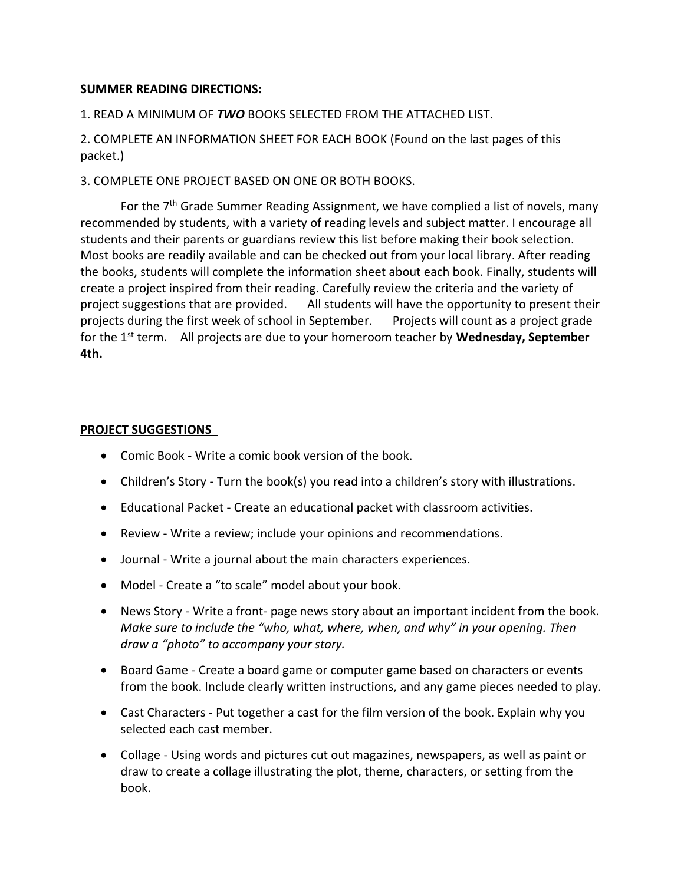# **SUMMER READING DIRECTIONS:**

1. READ A MINIMUM OF *TWO* BOOKS SELECTED FROM THE ATTACHED LIST.

2. COMPLETE AN INFORMATION SHEET FOR EACH BOOK (Found on the last pages of this packet.)

3. COMPLETE ONE PROJECT BASED ON ONE OR BOTH BOOKS.

For the  $7<sup>th</sup>$  Grade Summer Reading Assignment, we have complied a list of novels, many recommended by students, with a variety of reading levels and subject matter. I encourage all students and their parents or guardians review this list before making their book selection. Most books are readily available and can be checked out from your local library. After reading the books, students will complete the information sheet about each book. Finally, students will create a project inspired from their reading. Carefully review the criteria and the variety of project suggestions that are provided. All students will have the opportunity to present their projects during the first week of school in September. Projects will count as a project grade for the 1st term. All projects are due to your homeroom teacher by **Wednesday, September 4th.** 

# **PROJECT SUGGESTIONS**

- Comic Book Write a comic book version of the book.
- Children's Story Turn the book(s) you read into a children's story with illustrations.
- Educational Packet Create an educational packet with classroom activities.
- Review Write a review; include your opinions and recommendations.
- Journal Write a journal about the main characters experiences.
- Model Create a "to scale" model about your book.
- News Story Write a front- page news story about an important incident from the book. *Make sure to include the "who, what, where, when, and why" in your opening. Then draw a "photo" to accompany your story.*
- Board Game Create a board game or computer game based on characters or events from the book. Include clearly written instructions, and any game pieces needed to play.
- Cast Characters Put together a cast for the film version of the book. Explain why you selected each cast member.
- Collage Using words and pictures cut out magazines, newspapers, as well as paint or draw to create a collage illustrating the plot, theme, characters, or setting from the book.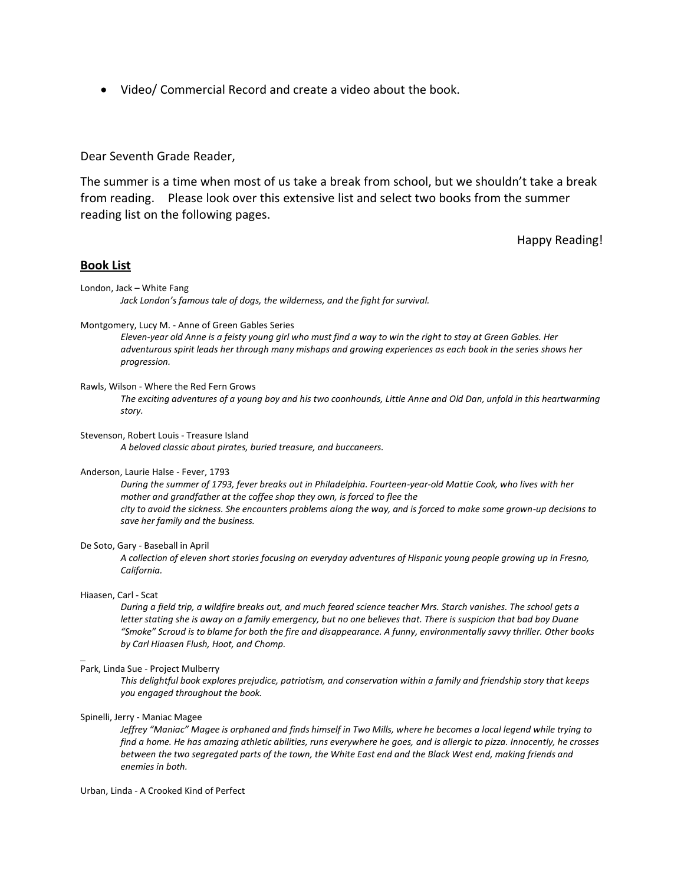• Video/ Commercial Record and create a video about the book.

Dear Seventh Grade Reader,

The summer is a time when most of us take a break from school, but we shouldn't take a break from reading. Please look over this extensive list and select two books from the summer reading list on the following pages.

## Happy Reading!

## **Book List**

London, Jack – White Fang

*Jack London's famous tale of dogs, the wilderness, and the fight for survival.*

#### Montgomery, Lucy M. - Anne of Green Gables Series

*Eleven-year old Anne is a feisty young girl who must find a way to win the right to stay at Green Gables. Her adventurous spirit leads her through many mishaps and growing experiences as each book in the series shows her progression.*

#### Rawls, Wilson - Where the Red Fern Grows

*The exciting adventures of a young boy and his two coonhounds, Little Anne and Old Dan, unfold in this heartwarming story.*

Stevenson, Robert Louis - Treasure Island

*A beloved classic about pirates, buried treasure, and buccaneers.*

#### Anderson, Laurie Halse - Fever, 1793

*During the summer of 1793, fever breaks out in Philadelphia. Fourteen-year-old Mattie Cook, who lives with her mother and grandfather at the coffee shop they own, is forced to flee the city to avoid the sickness. She encounters problems along the way, and is forced to make some grown-up decisions to save her family and the business.*

#### De Soto, Gary - Baseball in April

*A collection of eleven short stories focusing on everyday adventures of Hispanic young people growing up in Fresno, California.*

### Hiaasen, Carl - Scat

*During a field trip, a wildfire breaks out, and much feared science teacher Mrs. Starch vanishes. The school gets a letter stating she is away on a family emergency, but no one believes that. There is suspicion that bad boy Duane "Smoke" Scroud is to blame for both the fire and disappearance. A funny, environmentally savvy thriller. Other books by Carl Hiaasen Flush, Hoot, and Chomp.*

### Park, Linda Sue - Project Mulberry

*This delightful book explores prejudice, patriotism, and conservation within a family and friendship story that keeps you engaged throughout the book.*

#### Spinelli, Jerry - Maniac Magee

*Jeffrey "Maniac" Magee is orphaned and finds himself in Two Mills, where he becomes a local legend while trying to find a home. He has amazing athletic abilities, runs everywhere he goes, and is allergic to pizza. Innocently, he crosses between the two segregated parts of the town, the White East end and the Black West end, making friends and enemies in both.*

Urban, Linda - A Crooked Kind of Perfect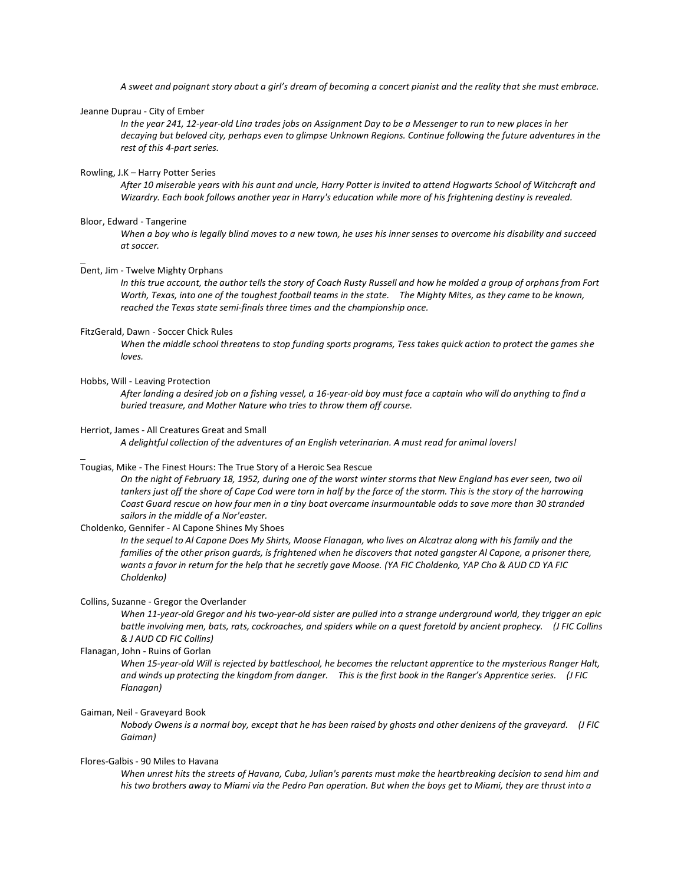*A sweet and poignant story about a girl's dream of becoming a concert pianist and the reality that she must embrace.*

#### Jeanne Duprau - City of Ember

*In the year 241, 12-year-old Lina trades jobs on Assignment Day to be a Messenger to run to new places in her*  decaying but beloved city, perhaps even to glimpse Unknown Regions. Continue following the future adventures in the *rest of this 4-part series.*

#### Rowling, J.K – Harry Potter Series

*After 10 miserable years with his aunt and uncle, Harry Potter is invited to attend Hogwarts School of Witchcraft and Wizardry. Each book follows another year in Harry's education while more of his frightening destiny is revealed.*

#### Bloor, Edward - Tangerine

*When a boy who is legally blind moves to a new town, he uses his inner senses to overcome his disability and succeed at soccer.*

#### Dent, Jim - Twelve Mighty Orphans

*In this true account, the author tells the story of Coach Rusty Russell and how he molded a group of orphans from Fort Worth, Texas, into one of the toughest football teams in the state. The Mighty Mites, as they came to be known, reached the Texas state semi-finals three times and the championship once.*

#### FitzGerald, Dawn - Soccer Chick Rules

*When the middle school threatens to stop funding sports programs, Tess takes quick action to protect the games she loves.*

#### Hobbs, Will - Leaving Protection

*After landing a desired job on a fishing vessel, a 16-year-old boy must face a captain who will do anything to find a buried treasure, and Mother Nature who tries to throw them off course.*

#### Herriot, James - All Creatures Great and Small

*A delightful collection of the adventures of an English veterinarian. A must read for animal lovers!*

#### Tougias, Mike - The Finest Hours: The True Story of a Heroic Sea Rescue

*On the night of February 18, 1952, during one of the worst winter storms that New England has ever seen, two oil tankers just off the shore of Cape Cod were torn in half by the force of the storm. This is the story of the harrowing Coast Guard rescue on how four men in a tiny boat overcame insurmountable odds to save more than 30 stranded sailors in the middle of a Nor'easter.*

## Choldenko, Gennifer - Al Capone Shines My Shoes

*In the sequel to Al Capone Does My Shirts, Moose Flanagan, who lives on Alcatraz along with his family and the families of the other prison guards, is frightened when he discovers that noted gangster Al Capone, a prisoner there, wants a favor in return for the help that he secretly gave Moose. (YA FIC Choldenko, YAP Cho & AUD CD YA FIC Choldenko)*

#### Collins, Suzanne - Gregor the Overlander

*When 11-year-old Gregor and his two-year-old sister are pulled into a strange underground world, they trigger an epic battle involving men, bats, rats, cockroaches, and spiders while on a quest foretold by ancient prophecy. (J FIC Collins & J AUD CD FIC Collins)*

#### Flanagan, John - Ruins of Gorlan

*When 15-year-old Will is rejected by battleschool, he becomes the reluctant apprentice to the mysterious Ranger Halt, and winds up protecting the kingdom from danger. This is the first book in the Ranger's Apprentice series. (J FIC Flanagan)*

#### Gaiman, Neil - Graveyard Book

*Nobody Owens is a normal boy, except that he has been raised by ghosts and other denizens of the graveyard. (J FIC Gaiman)*

#### Flores-Galbis - 90 Miles to Havana

*When unrest hits the streets of Havana, Cuba, Julian's parents must make the heartbreaking decision to send him and his two brothers away to Miami via the Pedro Pan operation. But when the boys get to Miami, they are thrust into a*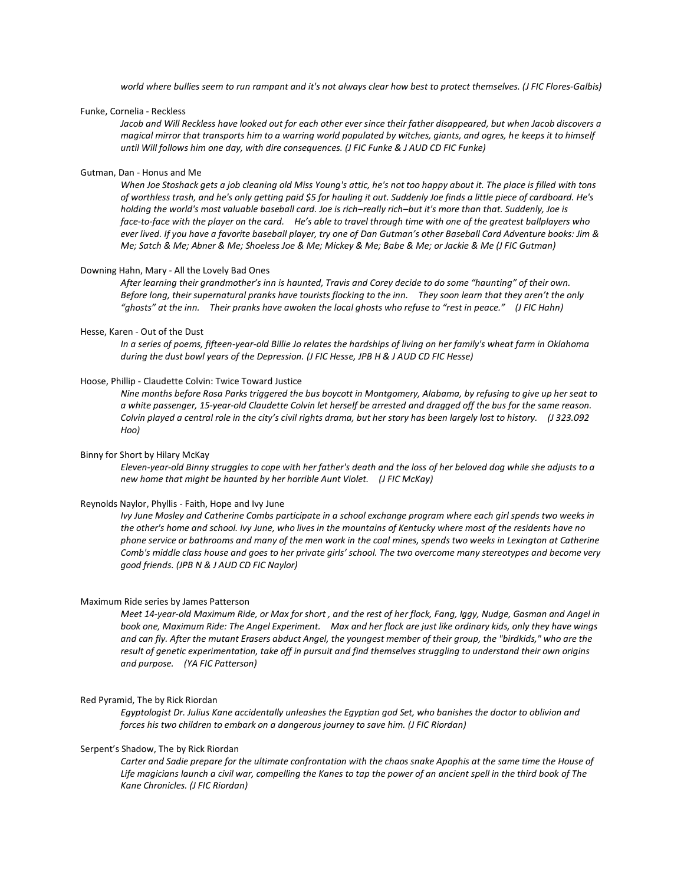*world where bullies seem to run rampant and it's not always clear how best to protect themselves. (J FIC Flores-Galbis)*

#### Funke, Cornelia - Reckless

*Jacob and Will Reckless have looked out for each other ever since their father disappeared, but when Jacob discovers a magical mirror that transports him to a warring world populated by witches, giants, and ogres, he keeps it to himself until Will follows him one day, with dire consequences. (J FIC Funke & J AUD CD FIC Funke)*

#### Gutman, Dan - Honus and Me

*When Joe Stoshack gets a job cleaning old Miss Young's attic, he's not too happy about it. The place is filled with tons of worthless trash, and he's only getting paid \$5 for hauling it out. Suddenly Joe finds a little piece of cardboard. He's holding the world's most valuable baseball card. Joe is rich–really rich–but it's more than that. Suddenly, Joe is face-to-face with the player on the card. He's able to travel through time with one of the greatest ballplayers who ever lived. If you have a favorite baseball player, try one of Dan Gutman's other Baseball Card Adventure books: Jim & Me; Satch & Me; Abner & Me; Shoeless Joe & Me; Mickey & Me; Babe & Me; or Jackie & Me (J FIC Gutman)*

#### Downing Hahn, Mary - All the Lovely Bad Ones

*After learning their grandmother's inn is haunted, Travis and Corey decide to do some "haunting" of their own. Before long, their supernatural pranks have tourists flocking to the inn. They soon learn that they aren't the only "ghosts" at the inn. Their pranks have awoken the local ghosts who refuse to "rest in peace." (J FIC Hahn)*

#### Hesse, Karen - Out of the Dust

*In a series of poems, fifteen-year-old Billie Jo relates the hardships of living on her family's wheat farm in Oklahoma during the dust bowl years of the Depression. (J FIC Hesse, JPB H & J AUD CD FIC Hesse)*

#### Hoose, Phillip - Claudette Colvin: Twice Toward Justice

*Nine months before Rosa Parks triggered the bus boycott in Montgomery, Alabama, by refusing to give up her seat to a white passenger, 15-year-old Claudette Colvin let herself be arrested and dragged off the bus for the same reason. Colvin played a central role in the city's civil rights drama, but her story has been largely lost to history. (J 323.092 Hoo)*

#### Binny for Short by Hilary McKay

*Eleven-year-old Binny struggles to cope with her father's death and the loss of her beloved dog while she adjusts to a new home that might be haunted by her horrible Aunt Violet. (J FIC McKay)*

#### Reynolds Naylor, Phyllis - Faith, Hope and Ivy June

*Ivy June Mosley and Catherine Combs participate in a school exchange program where each girl spends two weeks in the other's home and school. Ivy June, who lives in the mountains of Kentucky where most of the residents have no phone service or bathrooms and many of the men work in the coal mines, spends two weeks in Lexington at Catherine Comb's middle class house and goes to her private girls' school. The two overcome many stereotypes and become very good friends. (JPB N & J AUD CD FIC Naylor)*

#### Maximum Ride series by James Patterson

*Meet 14-year-old Maximum Ride, or Max for short , and the rest of her flock, Fang, Iggy, Nudge, Gasman and Angel in book one, Maximum Ride: The Angel Experiment. Max and her flock are just like ordinary kids, only they have wings and can fly. After the mutant Erasers abduct Angel, the youngest member of their group, the "birdkids," who are the result of genetic experimentation, take off in pursuit and find themselves struggling to understand their own origins and purpose. (YA FIC Patterson)*

#### Red Pyramid, The by Rick Riordan

*Egyptologist Dr. Julius Kane accidentally unleashes the Egyptian god Set, who banishes the doctor to oblivion and forces his two children to embark on a dangerous journey to save him. (J FIC Riordan)*

#### Serpent's Shadow, The by Rick Riordan

*Carter and Sadie prepare for the ultimate confrontation with the chaos snake Apophis at the same time the House of Life magicians launch a civil war, compelling the Kanes to tap the power of an ancient spell in the third book of The Kane Chronicles. (J FIC Riordan)*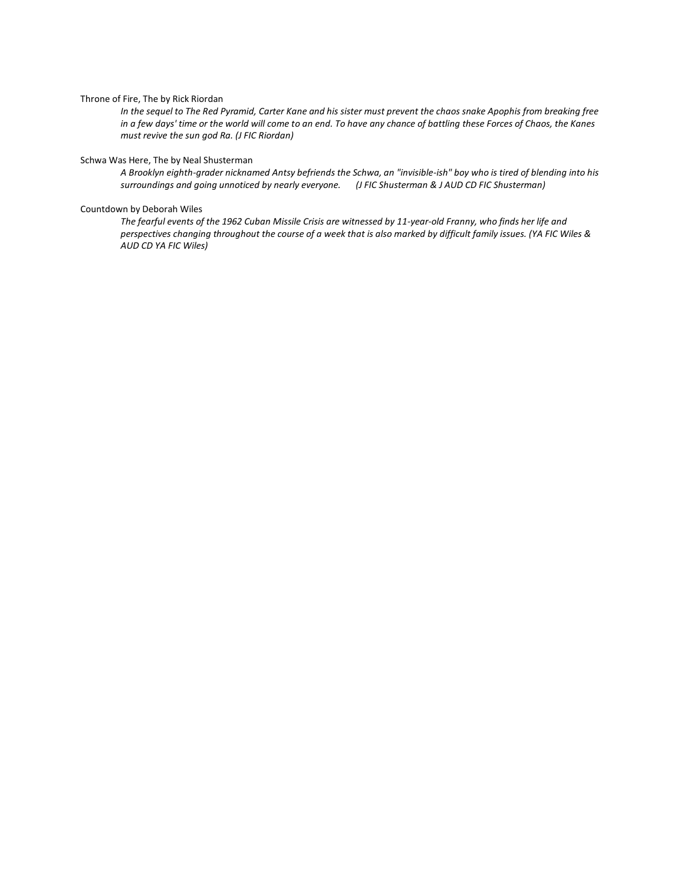#### Throne of Fire, The by Rick Riordan

*In the sequel to The Red Pyramid, Carter Kane and his sister must prevent the chaos snake Apophis from breaking free in a few days' time or the world will come to an end. To have any chance of battling these Forces of Chaos, the Kanes must revive the sun god Ra. (J FIC Riordan)*

## Schwa Was Here, The by Neal Shusterman

*A Brooklyn eighth-grader nicknamed Antsy befriends the Schwa, an "invisible-ish" boy who is tired of blending into his surroundings and going unnoticed by nearly everyone. (J FIC Shusterman & J AUD CD FIC Shusterman)*

#### Countdown by Deborah Wiles

*The fearful events of the 1962 Cuban Missile Crisis are witnessed by 11-year-old Franny, who finds her life and perspectives changing throughout the course of a week that is also marked by difficult family issues. (YA FIC Wiles & AUD CD YA FIC Wiles)*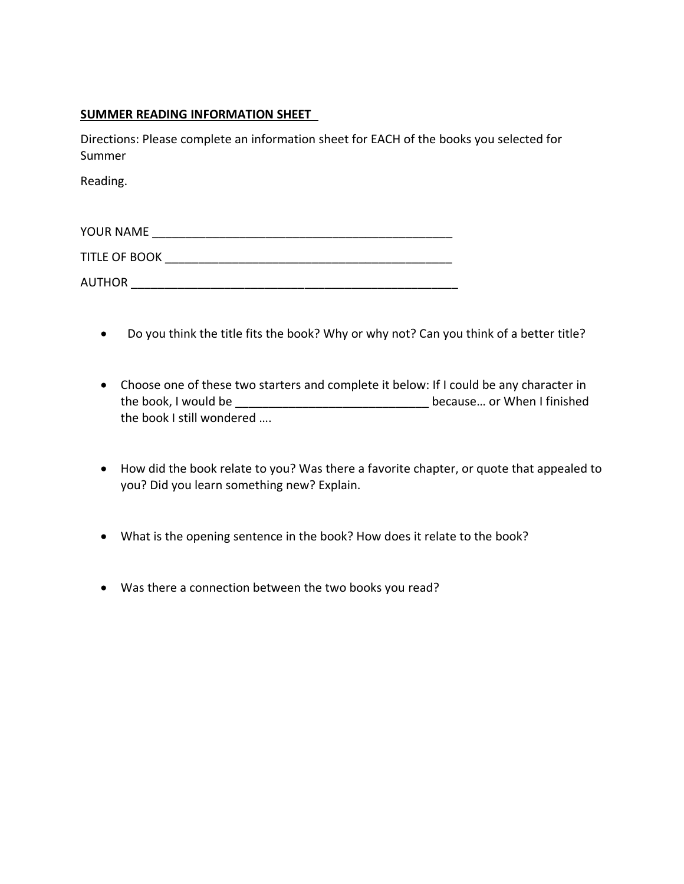# **SUMMER READING INFORMATION SHEET**

Directions: Please complete an information sheet for EACH of the books you selected for Summer

Reading.

YOUR NAME \_\_\_\_\_\_\_\_\_\_\_\_\_\_\_\_\_\_\_\_\_\_\_\_\_\_\_\_\_\_\_\_\_\_\_\_\_\_\_\_\_\_\_\_\_

TITLE OF BOOK \_\_\_\_\_\_\_\_\_\_\_\_\_\_\_\_\_\_\_\_\_\_\_\_\_\_\_\_\_\_\_\_\_\_\_\_\_\_\_\_\_\_\_

AUTHOR \_\_\_\_\_\_\_\_\_\_\_\_\_\_\_\_\_\_\_\_\_\_\_\_\_\_\_\_\_\_\_\_\_\_\_\_\_\_\_\_\_\_\_\_\_\_\_\_\_

- Do you think the title fits the book? Why or why not? Can you think of a better title?
- Choose one of these two starters and complete it below: If I could be any character in the book, I would be \_\_\_\_\_\_\_\_\_\_\_\_\_\_\_\_\_\_\_\_\_\_\_\_\_\_\_\_\_ because… or When I finished the book I still wondered ….
- How did the book relate to you? Was there a favorite chapter, or quote that appealed to you? Did you learn something new? Explain.
- What is the opening sentence in the book? How does it relate to the book?
- Was there a connection between the two books you read?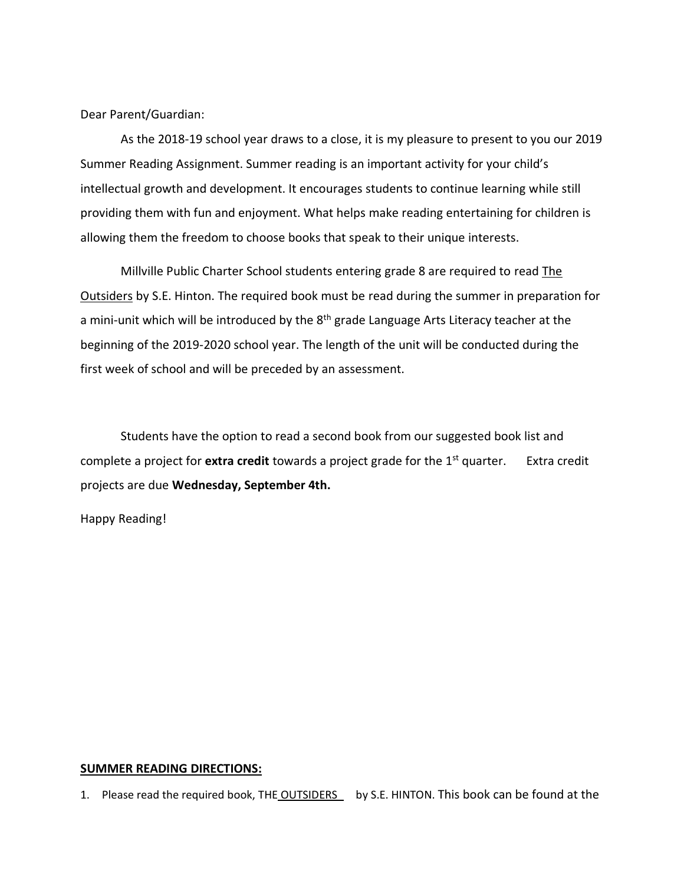As the 2018-19 school year draws to a close, it is my pleasure to present to you our 2019 Summer Reading Assignment. Summer reading is an important activity for your child's intellectual growth and development. It encourages students to continue learning while still providing them with fun and enjoyment. What helps make reading entertaining for children is allowing them the freedom to choose books that speak to their unique interests.

Millville Public Charter School students entering grade 8 are required to read The Outsiders by S.E. Hinton. The required book must be read during the summer in preparation for a mini-unit which will be introduced by the 8<sup>th</sup> grade Language Arts Literacy teacher at the beginning of the 2019-2020 school year. The length of the unit will be conducted during the first week of school and will be preceded by an assessment.

Students have the option to read a second book from our suggested book list and complete a project for **extra credit** towards a project grade for the 1<sup>st</sup> quarter. Extra credit projects are due **Wednesday, September 4th.**

Happy Reading!

## **SUMMER READING DIRECTIONS:**

1. Please read the required book, THE OUTSIDERS by S.E. HINTON. This book can be found at the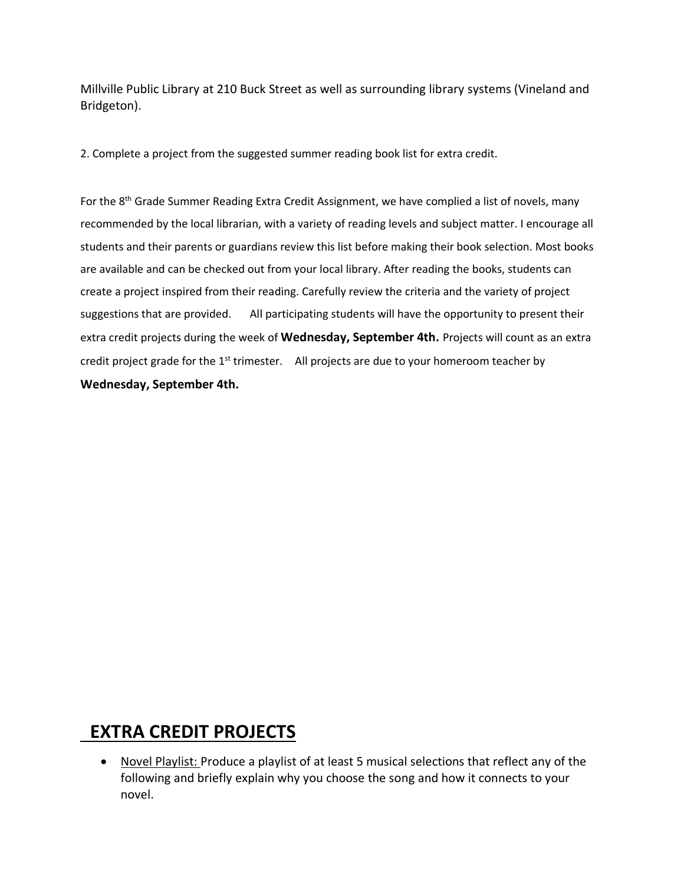Millville Public Library at 210 Buck Street as well as surrounding library systems (Vineland and Bridgeton).

2. Complete a project from the suggested summer reading book list for extra credit.

For the 8<sup>th</sup> Grade Summer Reading Extra Credit Assignment, we have complied a list of novels, many recommended by the local librarian, with a variety of reading levels and subject matter. I encourage all students and their parents or guardians review this list before making their book selection. Most books are available and can be checked out from your local library. After reading the books, students can create a project inspired from their reading. Carefully review the criteria and the variety of project suggestions that are provided. All participating students will have the opportunity to present their extra credit projects during the week of **Wednesday, September 4th.** Projects will count as an extra credit project grade for the  $1<sup>st</sup>$  trimester. All projects are due to your homeroom teacher by **Wednesday, September 4th.** 

# **EXTRA CREDIT PROJECTS**

• Novel Playlist: Produce a playlist of at least 5 musical selections that reflect any of the following and briefly explain why you choose the song and how it connects to your novel.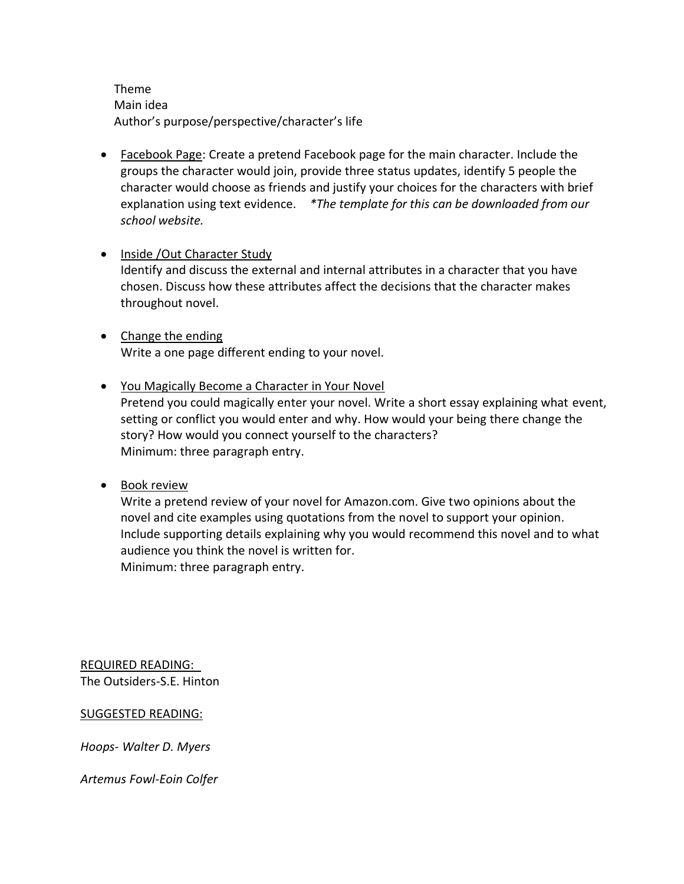Theme Main idea Author's purpose/perspective/character's life

- Facebook Page: Create a pretend Facebook page for the main character. Include the groups the character would join, provide three status updates, identify 5 people the character would choose as friends and justify your choices for the characters with brief explanation using text evidence. *\*The template for this can be downloaded from our school website.*
- Inside /Out Character Study Identify and discuss the external and internal attributes in a character that you have chosen. Discuss how these attributes affect the decisions that the character makes throughout novel.
- Change the ending Write a one page different ending to your novel.
- You Magically Become a Character in Your Novel Pretend you could magically enter your novel. Write a short essay explaining what event, setting or conflict you would enter and why. How would your being there change the story? How would you connect yourself to the characters? Minimum: three paragraph entry.
- Book review

Write a pretend review of your novel for Amazon.com. Give two opinions about the novel and cite examples using quotations from the novel to support your opinion. Include supporting details explaining why you would recommend this novel and to what audience you think the novel is written for. Minimum: three paragraph entry.

REQUIRED READING: The Outsiders-S.E. Hinton

SUGGESTED READING:

*Hoops- Walter D. Myers*

*Artemus Fowl-Eoin Colfer*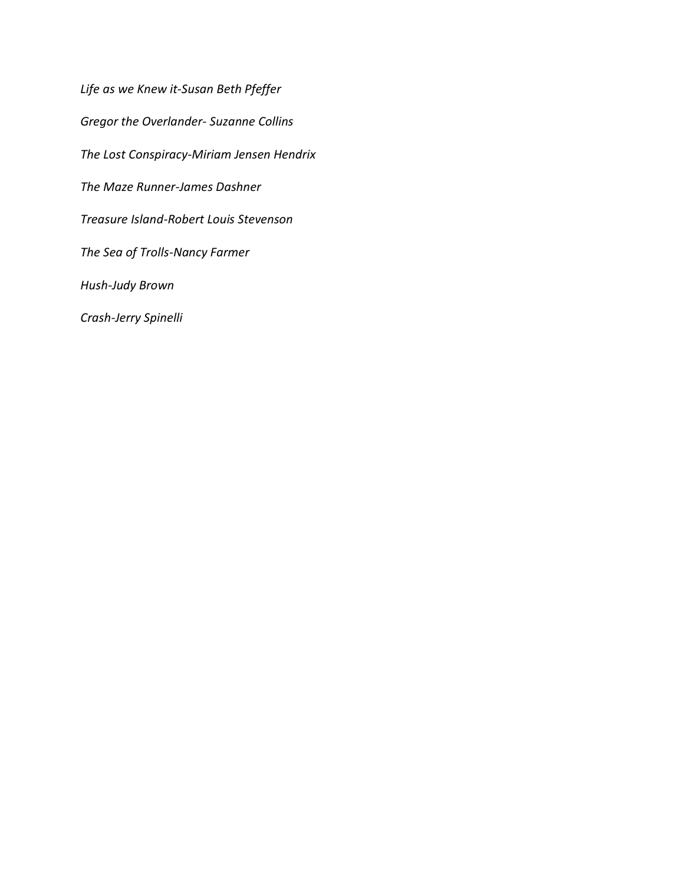*Life as we Knew it-Susan Beth Pfeffer Gregor the Overlander- Suzanne Collins The Lost Conspiracy-Miriam Jensen Hendrix The Maze Runner-James Dashner Treasure Island-Robert Louis Stevenson The Sea of Trolls-Nancy Farmer Hush-Judy Brown Crash-Jerry Spinelli*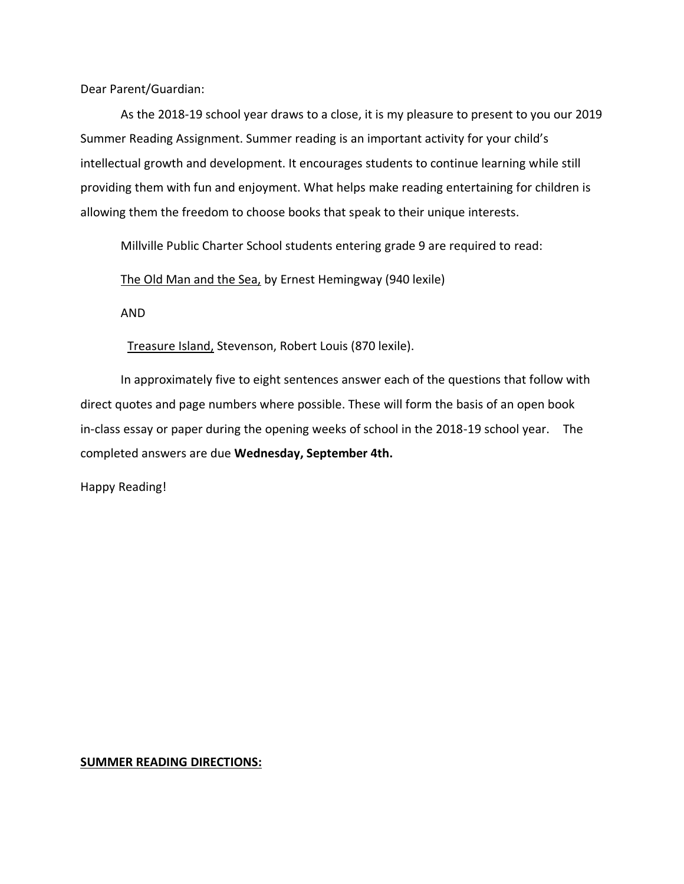As the 2018-19 school year draws to a close, it is my pleasure to present to you our 2019 Summer Reading Assignment. Summer reading is an important activity for your child's intellectual growth and development. It encourages students to continue learning while still providing them with fun and enjoyment. What helps make reading entertaining for children is allowing them the freedom to choose books that speak to their unique interests.

Millville Public Charter School students entering grade 9 are required to read:

The Old Man and the Sea, by Ernest Hemingway (940 lexile)

AND

Treasure Island, Stevenson, Robert Louis (870 lexile).

In approximately five to eight sentences answer each of the questions that follow with direct quotes and page numbers where possible. These will form the basis of an open book in-class essay or paper during the opening weeks of school in the 2018-19 school year. The completed answers are due **Wednesday, September 4th.** 

Happy Reading!

## **SUMMER READING DIRECTIONS:**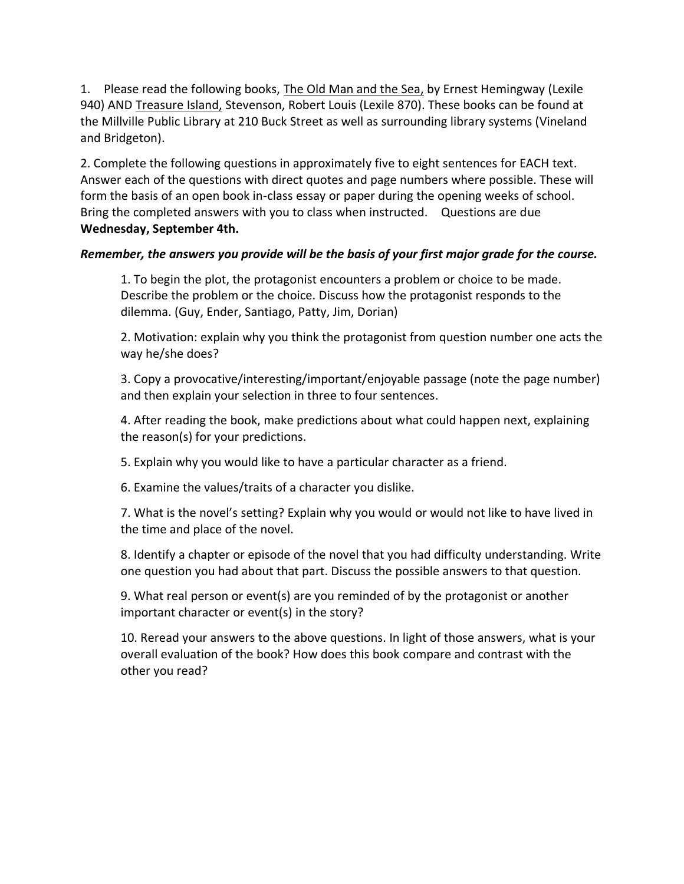1. Please read the following books, The Old Man and the Sea, by Ernest Hemingway (Lexile 940) AND Treasure Island, Stevenson, Robert Louis (Lexile 870). These books can be found at the Millville Public Library at 210 Buck Street as well as surrounding library systems (Vineland and Bridgeton).

2. Complete the following questions in approximately five to eight sentences for EACH text. Answer each of the questions with direct quotes and page numbers where possible. These will form the basis of an open book in-class essay or paper during the opening weeks of school. Bring the completed answers with you to class when instructed. Questions are due **Wednesday, September 4th.** 

# *Remember, the answers you provide will be the basis of your first major grade for the course.*

1. To begin the plot, the protagonist encounters a problem or choice to be made. Describe the problem or the choice. Discuss how the protagonist responds to the dilemma. (Guy, Ender, Santiago, Patty, Jim, Dorian)

2. Motivation: explain why you think the protagonist from question number one acts the way he/she does?

3. Copy a provocative/interesting/important/enjoyable passage (note the page number) and then explain your selection in three to four sentences.

4. After reading the book, make predictions about what could happen next, explaining the reason(s) for your predictions.

5. Explain why you would like to have a particular character as a friend.

6. Examine the values/traits of a character you dislike.

7. What is the novel's setting? Explain why you would or would not like to have lived in the time and place of the novel.

8. Identify a chapter or episode of the novel that you had difficulty understanding. Write one question you had about that part. Discuss the possible answers to that question.

9. What real person or event(s) are you reminded of by the protagonist or another important character or event(s) in the story?

10. Reread your answers to the above questions. In light of those answers, what is your overall evaluation of the book? How does this book compare and contrast with the other you read?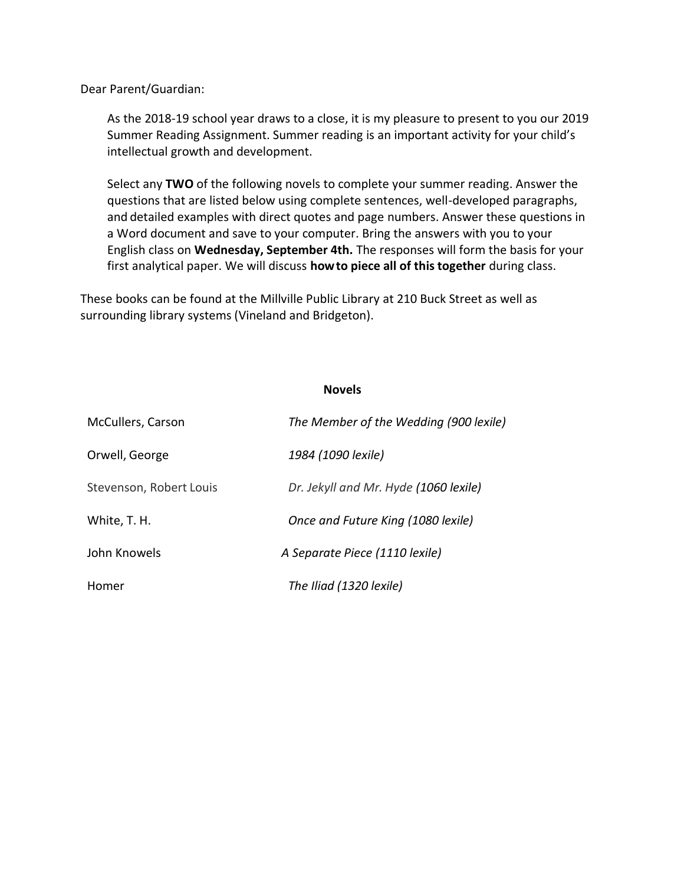As the 2018-19 school year draws to a close, it is my pleasure to present to you our 2019 Summer Reading Assignment. Summer reading is an important activity for your child's intellectual growth and development.

Select any **TWO** of the following novels to complete your summer reading. Answer the questions that are listed below using complete sentences, well-developed paragraphs, and detailed examples with direct quotes and page numbers. Answer these questions in a Word document and save to your computer. Bring the answers with you to your English class on **Wednesday, September 4th.** The responses will form the basis for your first analytical paper. We will discuss **howto piece all of this together** during class.

These books can be found at the Millville Public Library at 210 Buck Street as well as surrounding library systems (Vineland and Bridgeton).

## **Novels**

| McCullers, Carson       | The Member of the Wedding (900 lexile) |
|-------------------------|----------------------------------------|
| Orwell, George          | 1984 (1090 lexile)                     |
| Stevenson, Robert Louis | Dr. Jekyll and Mr. Hyde (1060 lexile)  |
| White, T. H.            | Once and Future King (1080 lexile)     |
| John Knowels            | A Separate Piece (1110 lexile)         |
| Homer                   | The Iliad (1320 lexile)                |